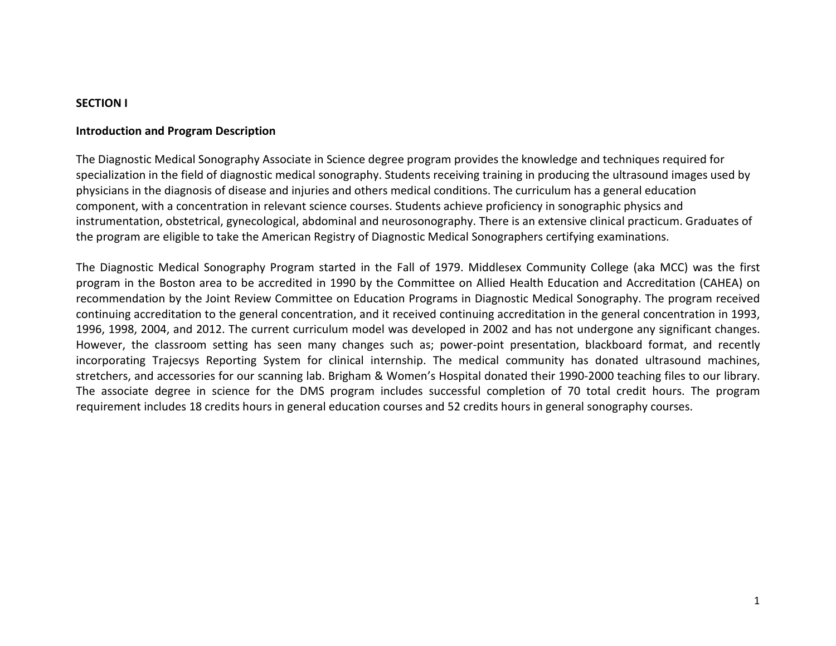#### **SECTION I**

#### **Introduction and Program Description**

The Diagnostic Medical Sonography Associate in Science degree program provides the knowledge and techniques required for specialization in the field of diagnostic medical sonography. Students receiving training in producing the ultrasound images used by physicians in the diagnosis of disease and injuries and others medical conditions. The curriculum has a general education component, with a concentration in relevant science courses. Students achieve proficiency in sonographic physics and instrumentation, obstetrical, gynecological, abdominal and neurosonography. There is an extensive clinical practicum. Graduates of the program are eligible to take the American Registry of Diagnostic Medical Sonographers certifying examinations.

The Diagnostic Medical Sonography Program started in the Fall of 1979. Middlesex Community College (aka MCC) was the first program in the Boston area to be accredited in 1990 by the Committee on Allied Health Education and Accreditation (CAHEA) on recommendation by the Joint Review Committee on Education Programs in Diagnostic Medical Sonography. The program received continuing accreditation to the general concentration, and it received continuing accreditation in the general concentration in 1993, 1996, 1998, 2004, and 2012. The current curriculum model was developed in 2002 and has not undergone any significant changes. However, the classroom setting has seen many changes such as; power-point presentation, blackboard format, and recently incorporating Trajecsys Reporting System for clinical internship. The medical community has donated ultrasound machines, stretchers, and accessories for our scanning lab. Brigham & Women's Hospital donated their 1990-2000 teaching files to our library. The associate degree in science for the DMS program includes successful completion of 70 total credit hours. The program requirement includes 18 credits hours in general education courses and 52 credits hours in general sonography courses.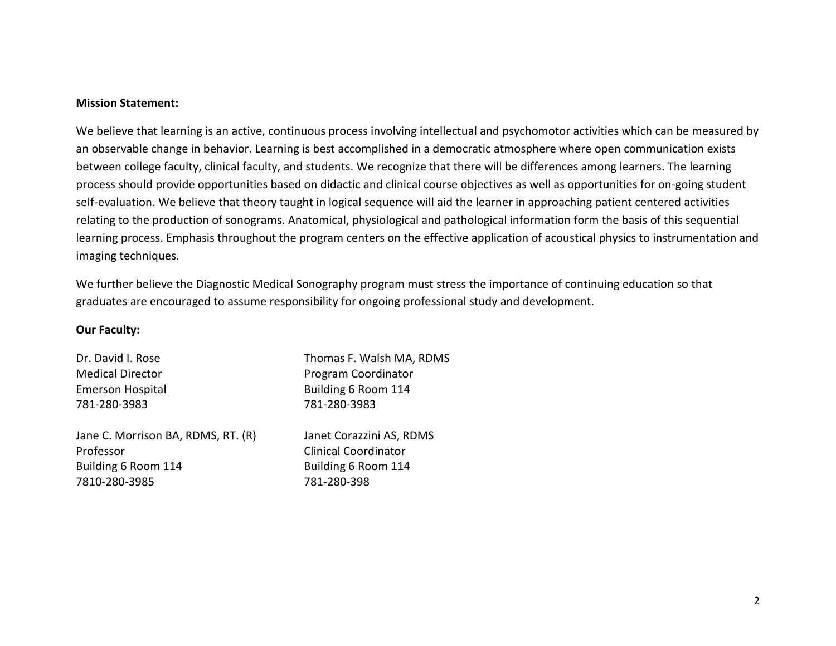#### **Mission Statement:**

We believe that learning is an active, continuous process involving intellectual and psychomotor activities which can be measured by an observable change in behavior. Learning is best accomplished in a democratic atmosphere where open communication exists between college faculty, clinical faculty, and students. We recognize that there will be differences among learners. The learning process should provide opportunities based on didactic and clinical course objectives as well as opportunities for on-going student self-evaluation. We believe that theory taught in logical sequence will aid the learner in approaching patient centered activities relating to the production of sonograms. Anatomical, physiological and pathological information form the basis of this sequential learning process. Emphasis throughout the program centers on the effective application of acoustical physics to instrumentation and imaging techniques.

We further believe the Diagnostic Medical Sonography program must stress the importance of continuing education so that graduates are encouraged to assume responsibility for ongoing professional study and development.

#### **Our Faculty:**

781-280-3983 781-280-3983

Jane C. Morrison BA, RDMS, RT. (R) Janet Corazzini AS, RDMS Professor **Clinical Coordinator** Building 6 Room 114 Building 6 Room 114 7810-280-3985 781-280-398

Dr. David I. Rose Thomas F. Walsh MA, RDMS Medical Director **Program Coordinator** Program Coordinator Emerson Hospital **Building 6 Room 114**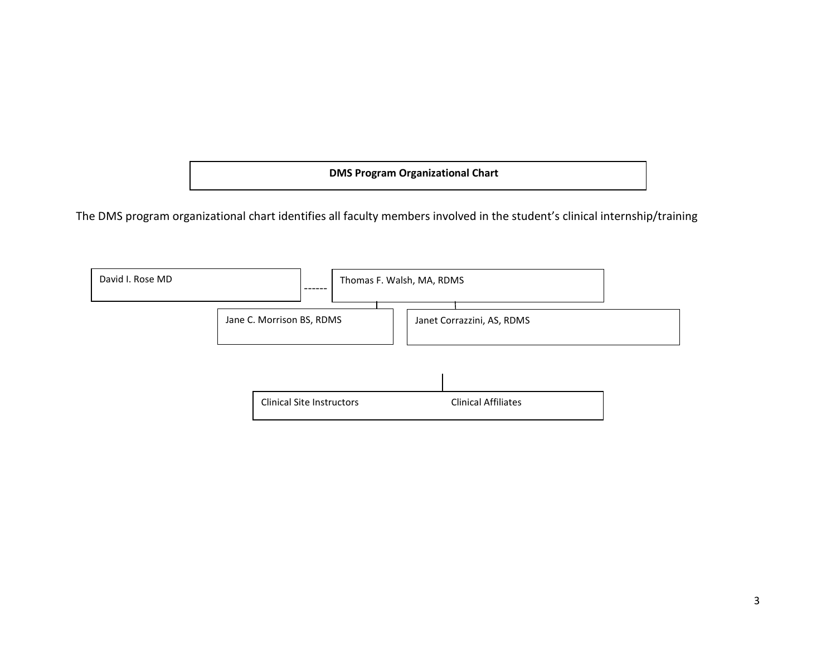**DMS Program Organizational Chart**

The DMS program organizational chart identifies all faculty members involved in the student's clinical internship/training

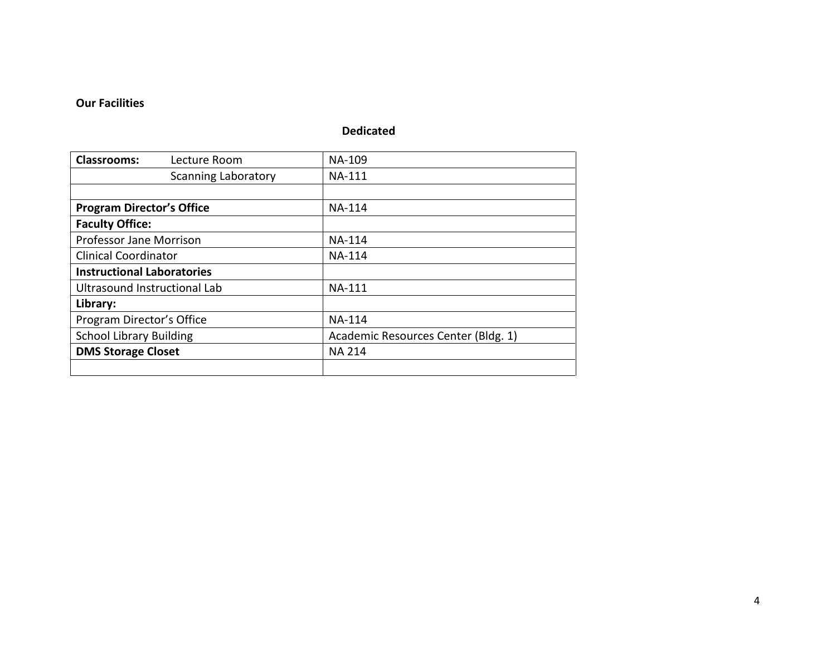### **Our Facilities**

## **Dedicated**

| <b>Classrooms:</b><br>Lecture Room | NA-109                              |  |  |  |
|------------------------------------|-------------------------------------|--|--|--|
| <b>Scanning Laboratory</b>         | <b>NA-111</b>                       |  |  |  |
|                                    |                                     |  |  |  |
| <b>Program Director's Office</b>   | <b>NA-114</b>                       |  |  |  |
| <b>Faculty Office:</b>             |                                     |  |  |  |
| <b>Professor Jane Morrison</b>     | <b>NA-114</b>                       |  |  |  |
| <b>Clinical Coordinator</b>        | <b>NA-114</b>                       |  |  |  |
| <b>Instructional Laboratories</b>  |                                     |  |  |  |
| Ultrasound Instructional Lab       | <b>NA-111</b>                       |  |  |  |
| Library:                           |                                     |  |  |  |
| Program Director's Office          | <b>NA-114</b>                       |  |  |  |
| <b>School Library Building</b>     | Academic Resources Center (Bldg. 1) |  |  |  |
| <b>DMS Storage Closet</b>          | <b>NA 214</b>                       |  |  |  |
|                                    |                                     |  |  |  |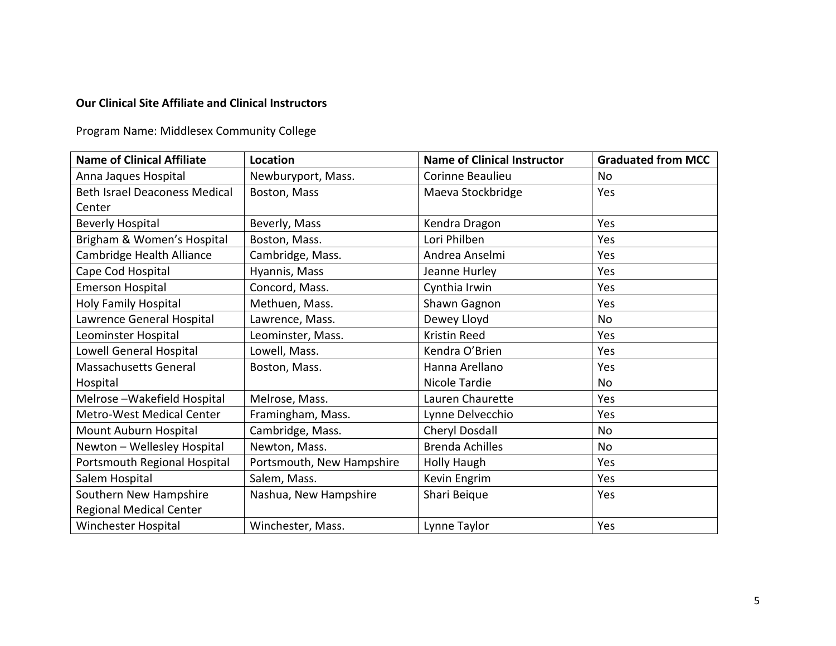## **Our Clinical Site Affiliate and Clinical Instructors**

Program Name: Middlesex Community College

| <b>Name of Clinical Affiliate</b>    | Location                  | <b>Name of Clinical Instructor</b> | <b>Graduated from MCC</b> |  |
|--------------------------------------|---------------------------|------------------------------------|---------------------------|--|
| Anna Jaques Hospital                 | Newburyport, Mass.        | Corinne Beaulieu                   | N <sub>o</sub>            |  |
| <b>Beth Israel Deaconess Medical</b> | Boston, Mass              | Maeva Stockbridge                  | Yes                       |  |
| Center                               |                           |                                    |                           |  |
| <b>Beverly Hospital</b>              | Beverly, Mass             | Kendra Dragon                      | Yes                       |  |
| Brigham & Women's Hospital           | Boston, Mass.             | Lori Philben                       | Yes                       |  |
| Cambridge Health Alliance            | Cambridge, Mass.          | Andrea Anselmi                     | Yes                       |  |
| Cape Cod Hospital                    | Hyannis, Mass             | Jeanne Hurley                      | Yes                       |  |
| <b>Emerson Hospital</b>              | Concord, Mass.            | Cynthia Irwin                      | Yes                       |  |
| Holy Family Hospital                 | Methuen, Mass.            | Shawn Gagnon                       | Yes                       |  |
| Lawrence General Hospital            | Lawrence, Mass.           | Dewey Lloyd                        | N <sub>o</sub>            |  |
| Leominster Hospital                  | Leominster, Mass.         | Kristin Reed                       | Yes                       |  |
| Lowell General Hospital              | Lowell, Mass.             | Kendra O'Brien                     | Yes                       |  |
| Massachusetts General                | Boston, Mass.             | Hanna Arellano                     | Yes                       |  |
| Hospital                             |                           | Nicole Tardie                      | <b>No</b>                 |  |
| Melrose-Wakefield Hospital           | Melrose, Mass.            | Lauren Chaurette                   | Yes                       |  |
| Metro-West Medical Center            | Framingham, Mass.         | Lynne Delvecchio                   | Yes                       |  |
| Mount Auburn Hospital                | Cambridge, Mass.          | <b>Cheryl Dosdall</b>              | <b>No</b>                 |  |
| Newton - Wellesley Hospital          | Newton, Mass.             | <b>Brenda Achilles</b>             | <b>No</b>                 |  |
| Portsmouth Regional Hospital         | Portsmouth, New Hampshire | Holly Haugh                        | Yes                       |  |
| Salem Hospital                       | Salem, Mass.              | Kevin Engrim                       | Yes                       |  |
| Southern New Hampshire               | Nashua, New Hampshire     | Shari Beique                       | Yes                       |  |
| <b>Regional Medical Center</b>       |                           |                                    |                           |  |
| Winchester Hospital                  | Winchester, Mass.         | Lynne Taylor                       | Yes                       |  |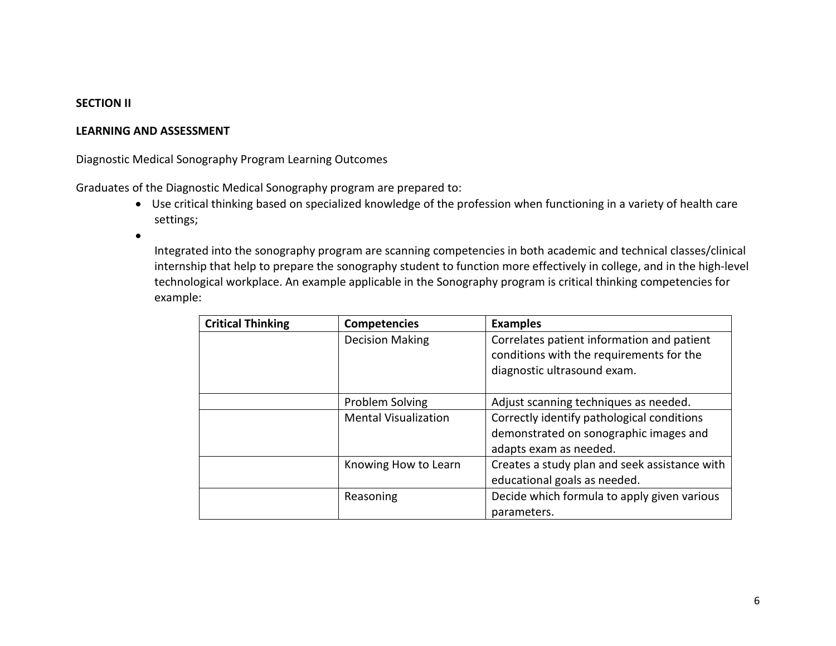#### **SECTION II**

#### **LEARNING AND ASSESSMENT**

Diagnostic Medical Sonography Program Learning Outcomes

Graduates of the Diagnostic Medical Sonography program are prepared to:

• Use critical thinking based on specialized knowledge of the profession when functioning in a variety of health care settings;

•

Integrated into the sonography program are scanning competencies in both academic and technical classes/clinical internship that help to prepare the sonography student to function more effectively in college, and in the high-level technological workplace. An example applicable in the Sonography program is critical thinking competencies for example:

| <b>Critical Thinking</b> | <b>Competencies</b>         | <b>Examples</b>                                                                                                       |
|--------------------------|-----------------------------|-----------------------------------------------------------------------------------------------------------------------|
|                          | <b>Decision Making</b>      | Correlates patient information and patient<br>conditions with the requirements for the<br>diagnostic ultrasound exam. |
|                          | Problem Solving             | Adjust scanning techniques as needed.                                                                                 |
|                          | <b>Mental Visualization</b> | Correctly identify pathological conditions<br>demonstrated on sonographic images and<br>adapts exam as needed.        |
|                          | Knowing How to Learn        | Creates a study plan and seek assistance with<br>educational goals as needed.                                         |
|                          | Reasoning                   | Decide which formula to apply given various<br>parameters.                                                            |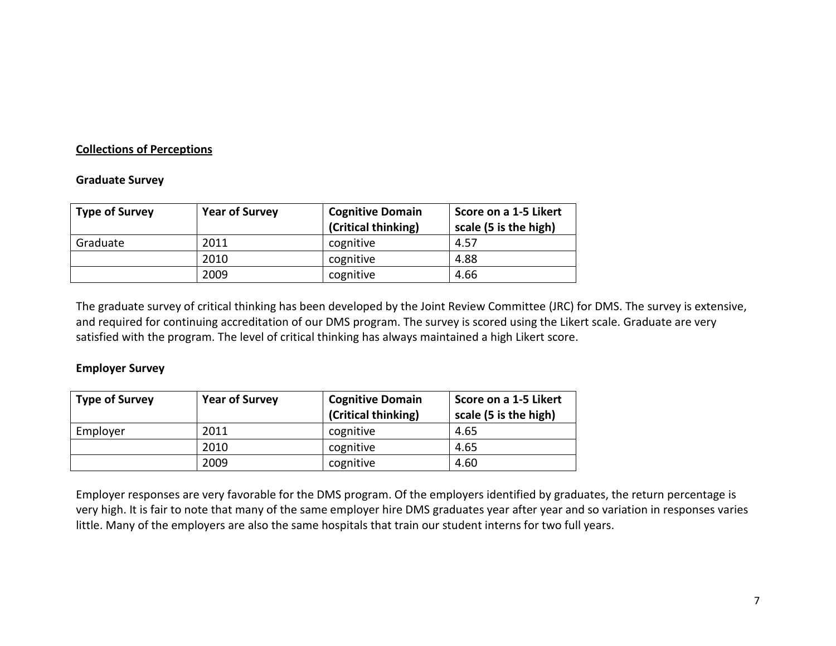### **Collections of Perceptions**

#### **Graduate Survey**

| <b>Type of Survey</b> | <b>Year of Survey</b> | <b>Cognitive Domain</b><br>(Critical thinking) | Score on a 1-5 Likert<br>scale (5 is the high) |  |
|-----------------------|-----------------------|------------------------------------------------|------------------------------------------------|--|
| Graduate              | 2011                  | cognitive                                      | 4.57                                           |  |
|                       | 2010                  | cognitive                                      | 4.88                                           |  |
|                       | 2009                  | cognitive                                      | 4.66                                           |  |

The graduate survey of critical thinking has been developed by the Joint Review Committee (JRC) for DMS. The survey is extensive, and required for continuing accreditation of our DMS program. The survey is scored using the Likert scale. Graduate are very satisfied with the program. The level of critical thinking has always maintained a high Likert score.

#### **Employer Survey**

| <b>Type of Survey</b> | <b>Year of Survey</b> | <b>Cognitive Domain</b> | Score on a 1-5 Likert |
|-----------------------|-----------------------|-------------------------|-----------------------|
|                       |                       | (Critical thinking)     | scale (5 is the high) |
| Employer              | 2011                  | cognitive               | 4.65                  |
|                       | 2010                  | cognitive               | 4.65                  |
|                       | 2009                  | cognitive               | 4.60                  |

Employer responses are very favorable for the DMS program. Of the employers identified by graduates, the return percentage is very high. It is fair to note that many of the same employer hire DMS graduates year after year and so variation in responses varies little. Many of the employers are also the same hospitals that train our student interns for two full years.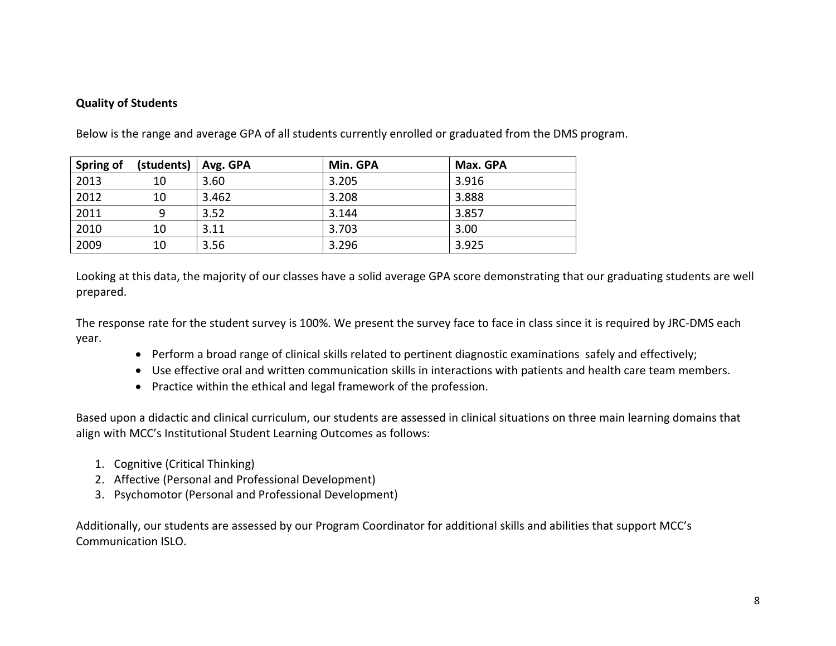### **Quality of Students**

| Spring of | (students) | Avg. GPA | Min. GPA | Max. GPA |
|-----------|------------|----------|----------|----------|
| 2013      | 10         | 3.60     | 3.205    | 3.916    |
| 2012      | 10         | 3.462    | 3.208    | 3.888    |
| 2011      | Q          | 3.52     | 3.144    | 3.857    |
| 2010      | 10         | 3.11     | 3.703    | 3.00     |
| 2009      | 10         | 3.56     | 3.296    | 3.925    |

Below is the range and average GPA of all students currently enrolled or graduated from the DMS program.

Looking at this data, the majority of our classes have a solid average GPA score demonstrating that our graduating students are well prepared.

The response rate for the student survey is 100%. We present the survey face to face in class since it is required by JRC-DMS each year.

- Perform a broad range of clinical skills related to pertinent diagnostic examinations safely and effectively;
- Use effective oral and written communication skills in interactions with patients and health care team members.
- Practice within the ethical and legal framework of the profession.

Based upon a didactic and clinical curriculum, our students are assessed in clinical situations on three main learning domains that align with MCC's Institutional Student Learning Outcomes as follows:

- 1. Cognitive (Critical Thinking)
- 2. Affective (Personal and Professional Development)
- 3. Psychomotor (Personal and Professional Development)

Additionally, our students are assessed by our Program Coordinator for additional skills and abilities that support MCC's Communication ISLO.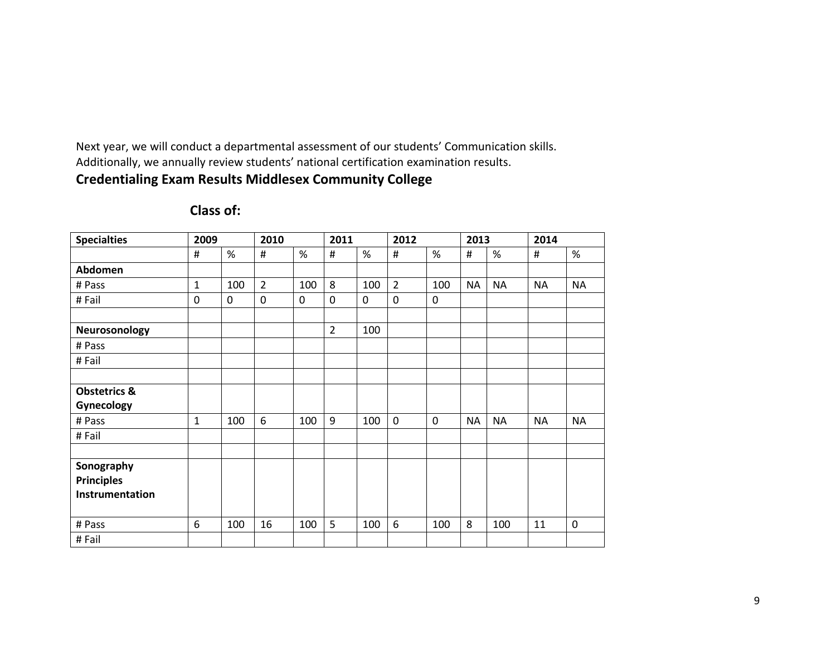Next year, we will conduct a departmental assessment of our students' Communication skills. Additionally, we annually review students' national certification examination results.

# **Credentialing Exam Results Middlesex Community College**

| <b>Specialties</b>      | 2009         |             | 2010           |             | 2011           |             | 2012           |             | 2013      |           | 2014      |             |
|-------------------------|--------------|-------------|----------------|-------------|----------------|-------------|----------------|-------------|-----------|-----------|-----------|-------------|
|                         | #            | $\%$        | #              | %           | #              | %           | $\#$           | %           | #         | %         | #         | $\%$        |
| Abdomen                 |              |             |                |             |                |             |                |             |           |           |           |             |
| # Pass                  | $\mathbf{1}$ | 100         | $\overline{2}$ | 100         | 8              | 100         | $\overline{2}$ | 100         | <b>NA</b> | <b>NA</b> | <b>NA</b> | <b>NA</b>   |
| # Fail                  | 0            | $\mathbf 0$ | 0              | $\mathbf 0$ | $\mathbf 0$    | $\mathbf 0$ | $\mathbf 0$    | $\mathbf 0$ |           |           |           |             |
|                         |              |             |                |             |                |             |                |             |           |           |           |             |
| Neurosonology           |              |             |                |             | $\overline{2}$ | 100         |                |             |           |           |           |             |
| # Pass                  |              |             |                |             |                |             |                |             |           |           |           |             |
| #Fail                   |              |             |                |             |                |             |                |             |           |           |           |             |
|                         |              |             |                |             |                |             |                |             |           |           |           |             |
| <b>Obstetrics &amp;</b> |              |             |                |             |                |             |                |             |           |           |           |             |
| Gynecology              |              |             |                |             |                |             |                |             |           |           |           |             |
| # Pass                  | $\mathbf{1}$ | 100         | 6              | 100         | 9              | 100         | $\overline{0}$ | $\mathbf 0$ | <b>NA</b> | <b>NA</b> | <b>NA</b> | <b>NA</b>   |
| #Fail                   |              |             |                |             |                |             |                |             |           |           |           |             |
|                         |              |             |                |             |                |             |                |             |           |           |           |             |
| Sonography              |              |             |                |             |                |             |                |             |           |           |           |             |
| <b>Principles</b>       |              |             |                |             |                |             |                |             |           |           |           |             |
| Instrumentation         |              |             |                |             |                |             |                |             |           |           |           |             |
|                         |              |             |                |             |                |             |                |             |           |           |           |             |
| # Pass                  | 6            | 100         | 16             | 100         | 5              | 100         | 6              | 100         | 8         | 100       | 11        | $\mathbf 0$ |
| #Fail                   |              |             |                |             |                |             |                |             |           |           |           |             |

# **Class of:**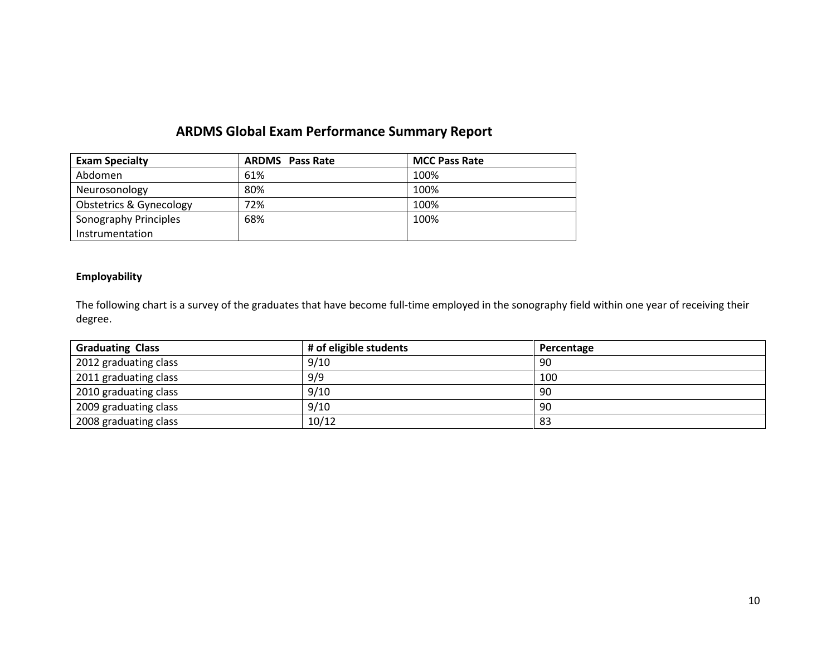# **ARDMS Global Exam Performance Summary Report**

| <b>Exam Specialty</b>              | <b>ARDMS</b> Pass Rate | <b>MCC Pass Rate</b> |
|------------------------------------|------------------------|----------------------|
| Abdomen                            | 61%                    | 100%                 |
| Neurosonology                      | 80%                    | 100%                 |
| <b>Obstetrics &amp; Gynecology</b> | 72%                    | 100%                 |
| Sonography Principles              | 68%                    | 100%                 |
| Instrumentation                    |                        |                      |

#### **Employability**

The following chart is a survey of the graduates that have become full-time employed in the sonography field within one year of receiving their degree.

| <b>Graduating Class</b> | # of eligible students | Percentage |
|-------------------------|------------------------|------------|
| 2012 graduating class   | 9/10                   | -90        |
| 2011 graduating class   | 9/9                    | 100        |
| 2010 graduating class   | 9/10                   | 90         |
| 2009 graduating class   | 9/10                   | 90         |
| 2008 graduating class   | 10/12                  | -83        |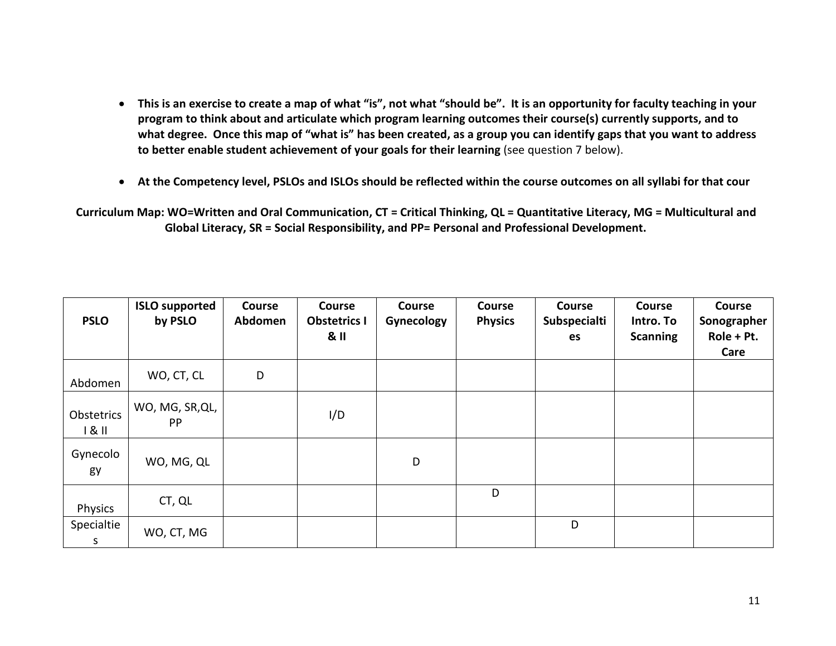- **This is an exercise to create a map of what "is", not what "should be". It is an opportunity for faculty teaching in your program to think about and articulate which program learning outcomes their course(s) currently supports, and to what degree. Once this map of "what is" has been created, as a group you can identify gaps that you want to address to better enable student achievement of your goals for their learning** (see question 7 below).
- **At the Competency level, PSLOs and ISLOs should be reflected within the course outcomes on all syllabi for that cour**

**Curriculum Map: WO=Written and Oral Communication, CT = Critical Thinking, QL = Quantitative Literacy, MG = Multicultural and Global Literacy, SR = Social Responsibility, and PP= Personal and Professional Development.**

| <b>PSLO</b>       | <b>ISLO supported</b><br>by PSLO | <b>Course</b><br>Abdomen | <b>Course</b><br><b>Obstetrics I</b><br>8 <sub>II</sub> | <b>Course</b><br>Gynecology | Course<br><b>Physics</b> | <b>Course</b><br>Subspecialti<br>es | <b>Course</b><br>Intro. To<br><b>Scanning</b> | <b>Course</b><br>Sonographer<br>Role + Pt.<br>Care |
|-------------------|----------------------------------|--------------------------|---------------------------------------------------------|-----------------------------|--------------------------|-------------------------------------|-----------------------------------------------|----------------------------------------------------|
| Abdomen           | WO, CT, CL                       | D                        |                                                         |                             |                          |                                     |                                               |                                                    |
| Obstetrics<br>181 | WO, MG, SR, QL,<br>PP            |                          | I/D                                                     |                             |                          |                                     |                                               |                                                    |
| Gynecolo<br>gy    | WO, MG, QL                       |                          |                                                         | D                           |                          |                                     |                                               |                                                    |
| Physics           | CT, QL                           |                          |                                                         |                             | D                        |                                     |                                               |                                                    |
| Specialtie<br>S   | WO, CT, MG                       |                          |                                                         |                             |                          | D                                   |                                               |                                                    |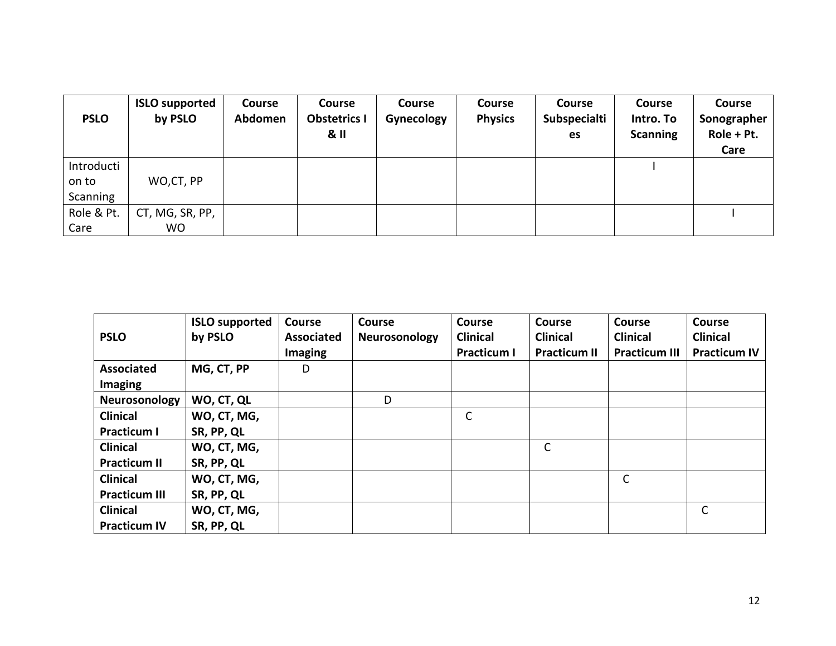| <b>PSLO</b>                     | <b>ISLO supported</b><br>by PSLO | <b>Course</b><br>Abdomen | <b>Course</b><br><b>Obstetrics I</b><br>8 <sub>II</sub> | <b>Course</b><br>Gynecology | <b>Course</b><br><b>Physics</b> | <b>Course</b><br>Subspecialti<br>es | <b>Course</b><br>Intro. To<br><b>Scanning</b> | Course<br>Sonographer<br>Role + Pt.<br>Care |
|---------------------------------|----------------------------------|--------------------------|---------------------------------------------------------|-----------------------------|---------------------------------|-------------------------------------|-----------------------------------------------|---------------------------------------------|
| Introducti<br>on to<br>Scanning | WO,CT, PP                        |                          |                                                         |                             |                                 |                                     |                                               |                                             |
| Role & Pt.<br>Care              | CT, MG, SR, PP,<br>WO.           |                          |                                                         |                             |                                 |                                     |                                               |                                             |

| <b>PSLO</b>          | <b>ISLO supported</b><br>by PSLO | <b>Course</b><br><b>Associated</b><br><b>Imaging</b> | <b>Course</b><br>Neurosonology | <b>Course</b><br><b>Clinical</b><br><b>Practicum I</b> | <b>Course</b><br><b>Clinical</b><br><b>Practicum II</b> | <b>Course</b><br><b>Clinical</b><br><b>Practicum III</b> | <b>Course</b><br><b>Clinical</b><br><b>Practicum IV</b> |
|----------------------|----------------------------------|------------------------------------------------------|--------------------------------|--------------------------------------------------------|---------------------------------------------------------|----------------------------------------------------------|---------------------------------------------------------|
| <b>Associated</b>    | MG, CT, PP                       | D                                                    |                                |                                                        |                                                         |                                                          |                                                         |
| <b>Imaging</b>       |                                  |                                                      |                                |                                                        |                                                         |                                                          |                                                         |
| Neurosonology        | WO, CT, QL                       |                                                      | D                              |                                                        |                                                         |                                                          |                                                         |
| <b>Clinical</b>      | WO, CT, MG,                      |                                                      |                                | C                                                      |                                                         |                                                          |                                                         |
| <b>Practicum I</b>   | SR, PP, QL                       |                                                      |                                |                                                        |                                                         |                                                          |                                                         |
| <b>Clinical</b>      | WO, CT, MG,                      |                                                      |                                |                                                        | $\mathsf{C}$                                            |                                                          |                                                         |
| <b>Practicum II</b>  | SR, PP, QL                       |                                                      |                                |                                                        |                                                         |                                                          |                                                         |
| <b>Clinical</b>      | WO, CT, MG,                      |                                                      |                                |                                                        |                                                         | $\mathsf{C}$                                             |                                                         |
| <b>Practicum III</b> | SR, PP, QL                       |                                                      |                                |                                                        |                                                         |                                                          |                                                         |
| <b>Clinical</b>      | WO, CT, MG,                      |                                                      |                                |                                                        |                                                         |                                                          | C                                                       |
| <b>Practicum IV</b>  | SR, PP, QL                       |                                                      |                                |                                                        |                                                         |                                                          |                                                         |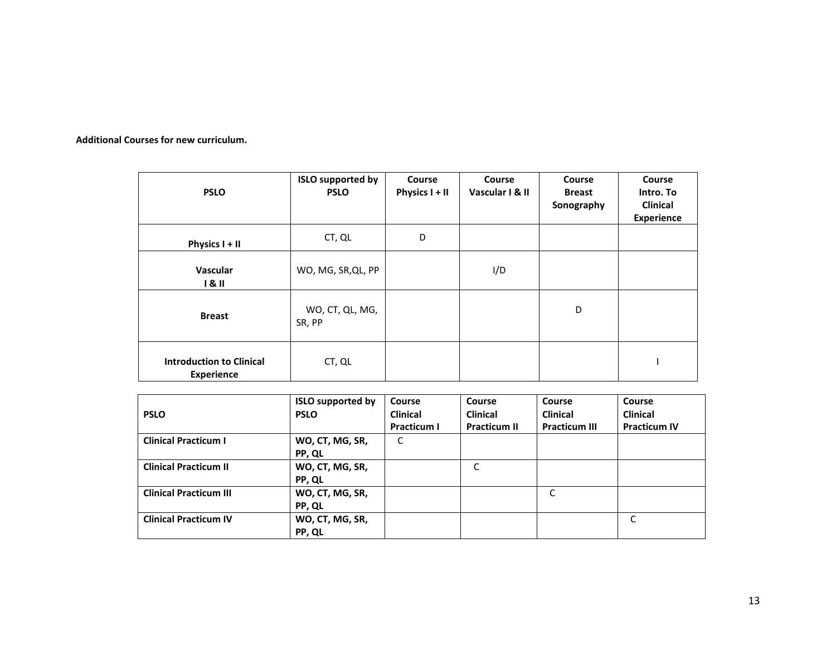**Additional Courses for new curriculum.**

| <b>PSLO</b>                                          | <b>ISLO supported by</b><br><b>PSLO</b> | <b>Course</b><br>Physics I + II | <b>Course</b><br>Vascular I & II | <b>Course</b><br><b>Breast</b><br>Sonography | <b>Course</b><br>Intro. To<br><b>Clinical</b><br><b>Experience</b> |
|------------------------------------------------------|-----------------------------------------|---------------------------------|----------------------------------|----------------------------------------------|--------------------------------------------------------------------|
| Physics I + II                                       | CT, QL                                  | D                               |                                  |                                              |                                                                    |
| <b>Vascular</b><br>181                               | WO, MG, SR, QL, PP                      |                                 | I/D                              |                                              |                                                                    |
| <b>Breast</b>                                        | WO, CT, QL, MG,<br>SR, PP               |                                 |                                  | D                                            |                                                                    |
| <b>Introduction to Clinical</b><br><b>Experience</b> | CT, QL                                  |                                 |                                  |                                              |                                                                    |

|                               | <b>ISLO supported by</b> | <b>Course</b>      | Course              | <b>Course</b>        | Course              |
|-------------------------------|--------------------------|--------------------|---------------------|----------------------|---------------------|
| <b>PSLO</b>                   | <b>PSLO</b>              | <b>Clinical</b>    | <b>Clinical</b>     | <b>Clinical</b>      | <b>Clinical</b>     |
|                               |                          | <b>Practicum I</b> | <b>Practicum II</b> | <b>Practicum III</b> | <b>Practicum IV</b> |
| <b>Clinical Practicum I</b>   | WO, CT, MG, SR,          | C                  |                     |                      |                     |
|                               | PP, QL                   |                    |                     |                      |                     |
| <b>Clinical Practicum II</b>  | WO, CT, MG, SR,          |                    | C                   |                      |                     |
|                               | PP, QL                   |                    |                     |                      |                     |
| <b>Clinical Practicum III</b> | WO, CT, MG, SR,          |                    |                     | C                    |                     |
|                               | PP, QL                   |                    |                     |                      |                     |
| <b>Clinical Practicum IV</b>  | WO, CT, MG, SR,          |                    |                     |                      | C                   |
|                               | PP, QL                   |                    |                     |                      |                     |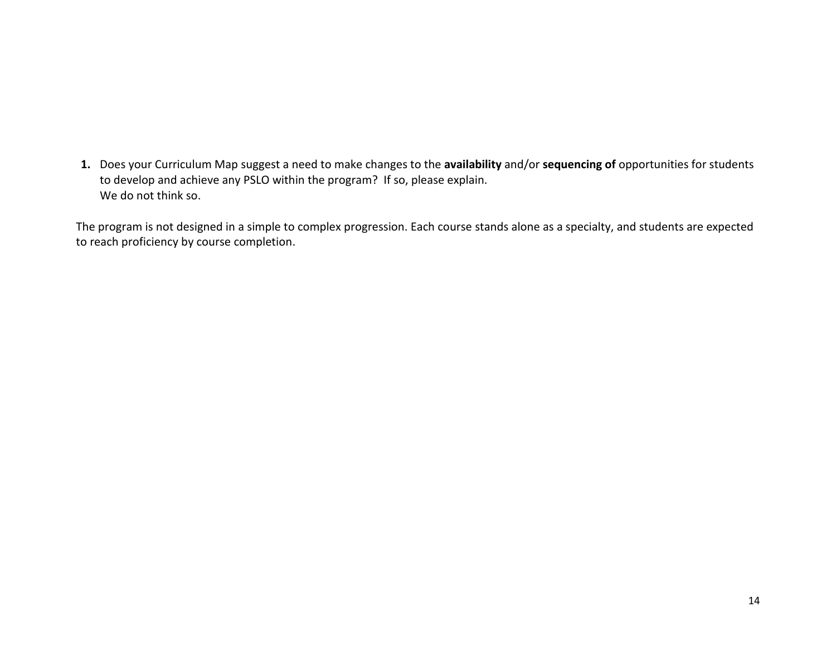**1.** Does your Curriculum Map suggest a need to make changes to the **availability** and/or **sequencing of** opportunities for students to develop and achieve any PSLO within the program? If so, please explain. We do not think so.

The program is not designed in a simple to complex progression. Each course stands alone as a specialty, and students are expected to reach proficiency by course completion.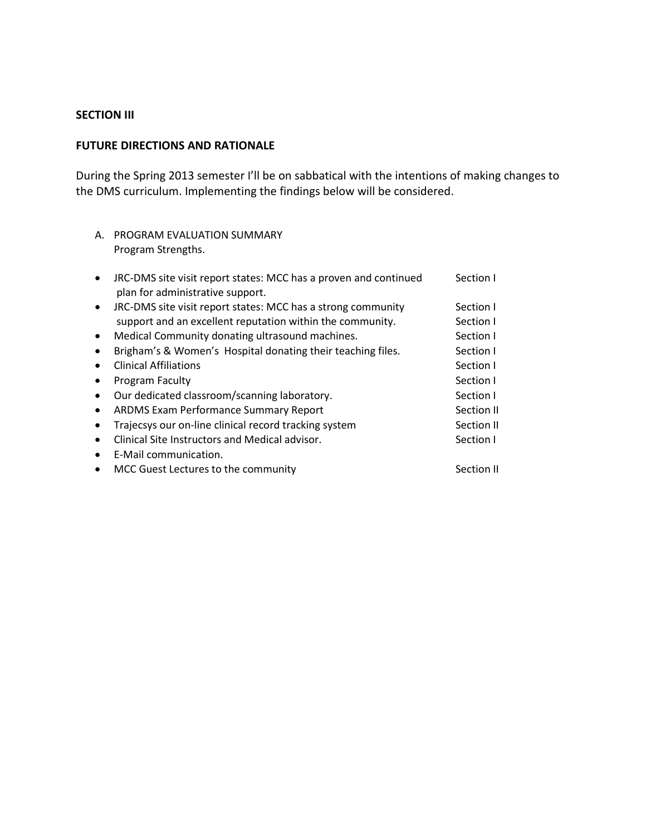#### **SECTION III**

#### **FUTURE DIRECTIONS AND RATIONALE**

During the Spring 2013 semester I'll be on sabbatical with the intentions of making changes to the DMS curriculum. Implementing the findings below will be considered.

A. PROGRAM EVALUATION SUMMARY Program Strengths.

| $\bullet$ | JRC-DMS site visit report states: MCC has a proven and continued<br>plan for administrative support. | Section I  |
|-----------|------------------------------------------------------------------------------------------------------|------------|
| $\bullet$ | JRC-DMS site visit report states: MCC has a strong community                                         | Section I  |
|           | support and an excellent reputation within the community.                                            | Section I  |
| $\bullet$ | Medical Community donating ultrasound machines.                                                      | Section I  |
| $\bullet$ | Brigham's & Women's Hospital donating their teaching files.                                          | Section I  |
| $\bullet$ | <b>Clinical Affiliations</b>                                                                         | Section I  |
| $\bullet$ | Program Faculty                                                                                      | Section I  |
| $\bullet$ | Our dedicated classroom/scanning laboratory.                                                         | Section I  |
| $\bullet$ | <b>ARDMS Exam Performance Summary Report</b>                                                         | Section II |
| $\bullet$ | Trajecsys our on-line clinical record tracking system                                                | Section II |
| $\bullet$ | Clinical Site Instructors and Medical advisor.                                                       | Section I  |
| $\bullet$ | E-Mail communication.                                                                                |            |
| $\bullet$ | MCC Guest Lectures to the community                                                                  | Section II |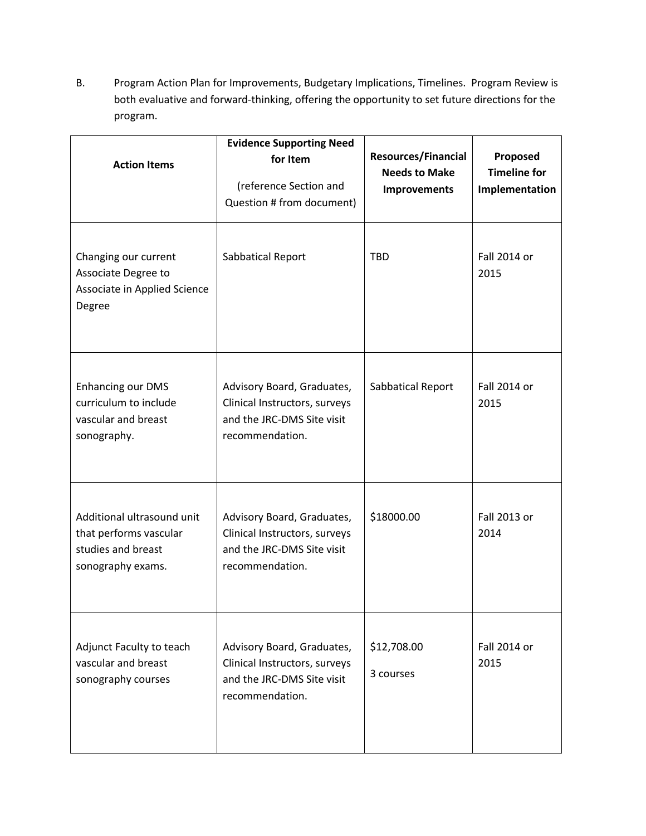B. Program Action Plan for Improvements, Budgetary Implications, Timelines. Program Review is both evaluative and forward-thinking, offering the opportunity to set future directions for the program.

| <b>Action Items</b>                                                                             | <b>Evidence Supporting Need</b><br>for Item<br>(reference Section and<br>Question # from document)           | <b>Resources/Financial</b><br><b>Needs to Make</b><br><b>Improvements</b> | Proposed<br><b>Timeline for</b><br>Implementation |
|-------------------------------------------------------------------------------------------------|--------------------------------------------------------------------------------------------------------------|---------------------------------------------------------------------------|---------------------------------------------------|
| Changing our current<br>Associate Degree to<br>Associate in Applied Science<br>Degree           | Sabbatical Report                                                                                            | <b>TBD</b>                                                                | Fall 2014 or<br>2015                              |
| <b>Enhancing our DMS</b><br>curriculum to include<br>vascular and breast<br>sonography.         | Advisory Board, Graduates,<br>Clinical Instructors, surveys<br>and the JRC-DMS Site visit<br>recommendation. | Sabbatical Report                                                         | Fall 2014 or<br>2015                              |
| Additional ultrasound unit<br>that performs vascular<br>studies and breast<br>sonography exams. | Advisory Board, Graduates,<br>Clinical Instructors, surveys<br>and the JRC-DMS Site visit<br>recommendation. | \$18000.00                                                                | Fall 2013 or<br>2014                              |
| Adjunct Faculty to teach<br>vascular and breast<br>sonography courses                           | Advisory Board, Graduates,<br>Clinical Instructors, surveys<br>and the JRC-DMS Site visit<br>recommendation. |                                                                           | Fall 2014 or<br>2015                              |